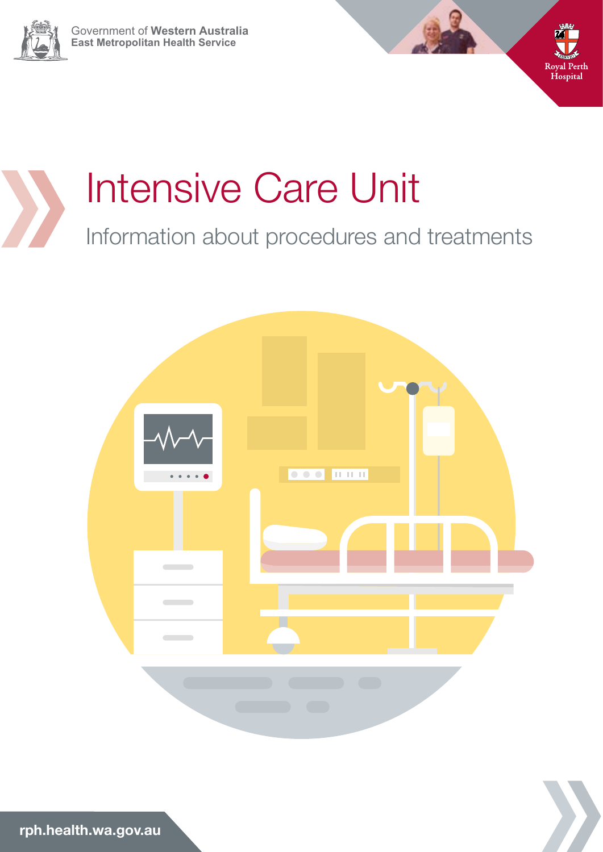









**rph.health.wa.gov.au**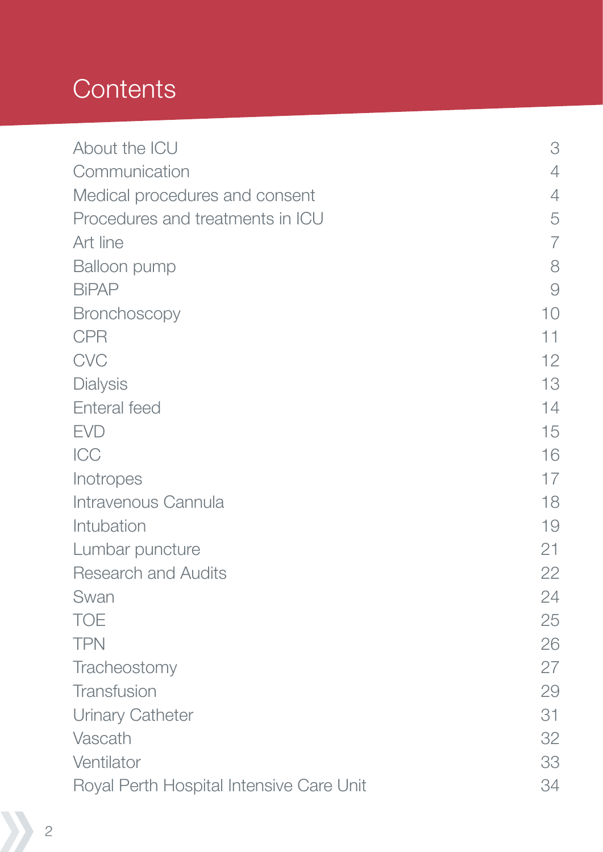# **Contents**

| About the ICU                            | 3              |
|------------------------------------------|----------------|
| Communication                            | 4              |
| Medical procedures and consent           | 4              |
| Procedures and treatments in ICU         | 5              |
| Art line                                 | $\overline{7}$ |
| Balloon pump                             | 8              |
| <b>BiPAP</b>                             | $\Theta$       |
| <b>Bronchoscopy</b>                      | 10             |
| <b>CPR</b>                               | 11             |
| <b>CVC</b>                               | 12             |
| <b>Dialysis</b>                          | 13             |
| Enteral feed                             | 14             |
| <b>EVD</b>                               | 15             |
| ICC                                      | 16             |
| Inotropes                                | 17             |
| Intravenous Cannula                      | 18             |
| Intubation                               | 19             |
| Lumbar puncture                          | 21             |
| <b>Research and Audits</b>               | 22             |
| Swan                                     | 24             |
| <b>TOE</b>                               | 25             |
| <b>TPN</b>                               | 26             |
| Tracheostomy                             | 27             |
| Transfusion                              | 29             |
| Urinary Catheter                         | 31             |
| Vascath                                  | 32             |
| Ventilator                               | 33             |
| Royal Perth Hospital Intensive Care Unit | 34             |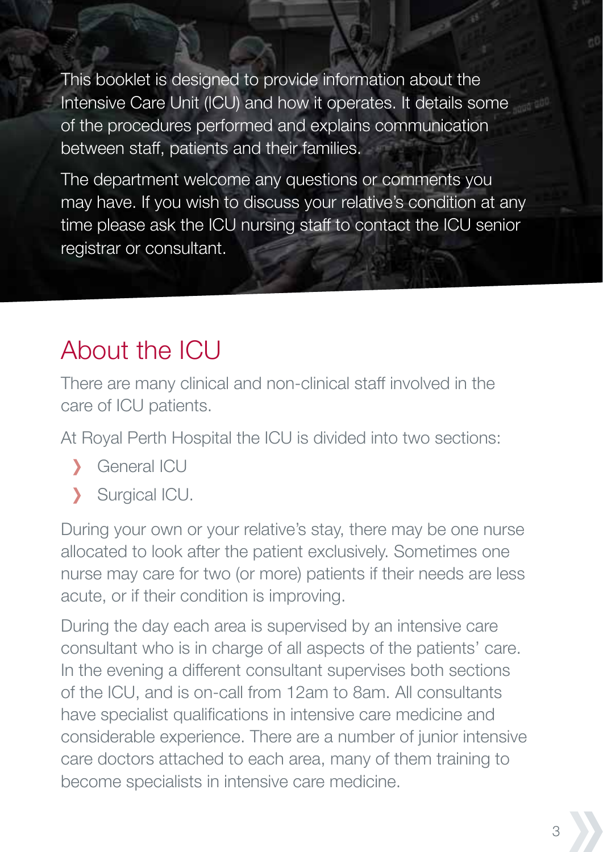This booklet is designed to provide information about the Intensive Care Unit (ICU) and how it operates. It details some of the procedures performed and explains communication between staff, patients and their families.

The department welcome any questions or comments you may have. If you wish to discuss your relative's condition at any time please ask the ICU nursing staff to contact the ICU senior registrar or consultant.

# About the ICU

There are many clinical and non-clinical staff involved in the care of ICU patients.

At Royal Perth Hospital the ICU is divided into two sections:

- General ICU  $\overline{\phantom{0}}$
- Surgical ICU. Ŋ

During your own or your relative's stay, there may be one nurse allocated to look after the patient exclusively. Sometimes one nurse may care for two (or more) patients if their needs are less acute, or if their condition is improving.

During the day each area is supervised by an intensive care consultant who is in charge of all aspects of the patients' care. In the evening a different consultant supervises both sections of the ICU, and is on-call from 12am to 8am. All consultants have specialist qualifications in intensive care medicine and considerable experience. There are a number of junior intensive care doctors attached to each area, many of them training to become specialists in intensive care medicine.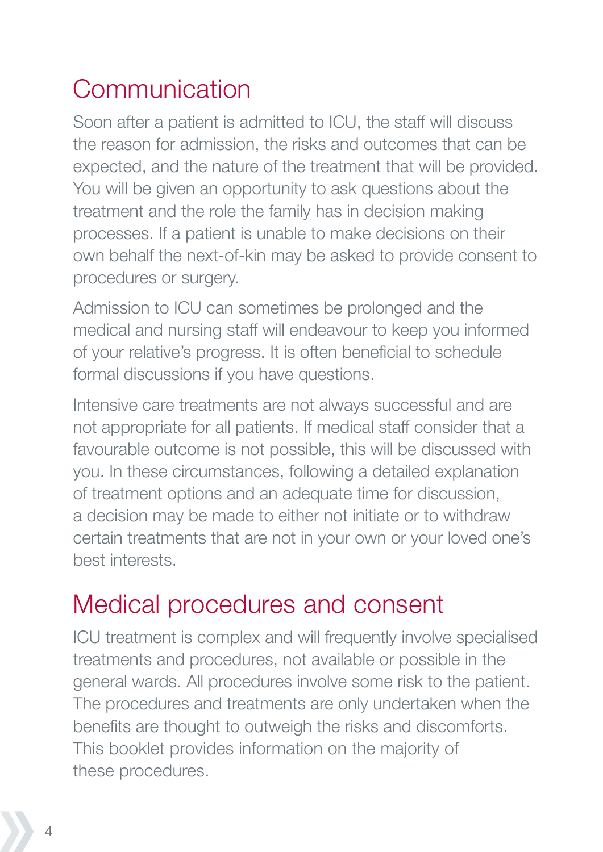# Communication

Soon after a patient is admitted to ICU, the staff will discuss the reason for admission, the risks and outcomes that can be expected, and the nature of the treatment that will be provided. You will be given an opportunity to ask questions about the treatment and the role the family has in decision making processes. If a patient is unable to make decisions on their own behalf the next-of-kin may be asked to provide consent to procedures or surgery.

Admission to ICU can sometimes be prolonged and the medical and nursing staff will endeavour to keep you informed of your relative's progress. It is often beneficial to schedule formal discussions if you have questions.

Intensive care treatments are not always successful and are not appropriate for all patients. If medical staff consider that a favourable outcome is not possible, this will be discussed with you. In these circumstances, following a detailed explanation of treatment options and an adequate time for discussion, a decision may be made to either not initiate or to withdraw certain treatments that are not in your own or your loved one's best interests.

# Medical procedures and consent

ICU treatment is complex and will frequently involve specialised treatments and procedures, not available or possible in the general wards. All procedures involve some risk to the patient. The procedures and treatments are only undertaken when the benefits are thought to outweigh the risks and discomforts. This booklet provides information on the majority of these procedures.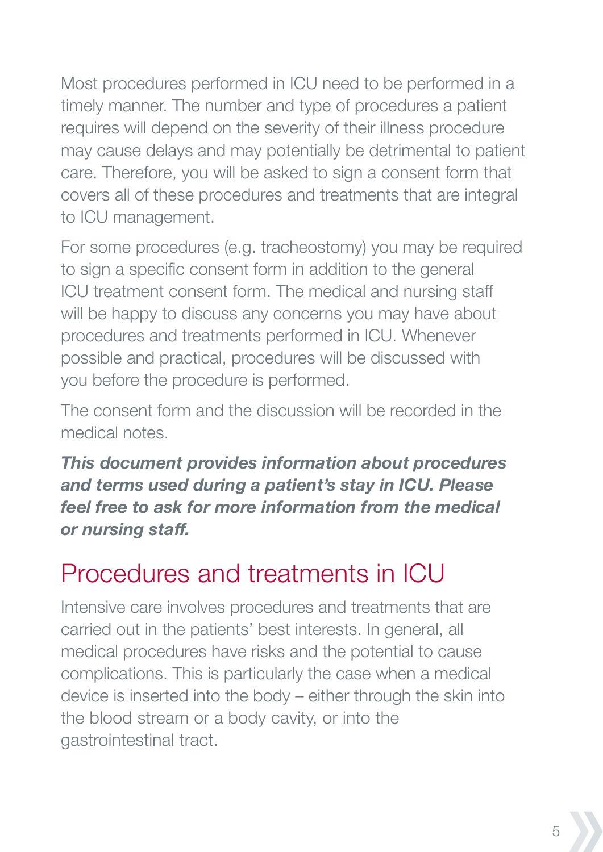Most procedures performed in ICU need to be performed in a timely manner. The number and type of procedures a patient requires will depend on the severity of their illness procedure may cause delays and may potentially be detrimental to patient care. Therefore, you will be asked to sign a consent form that covers all of these procedures and treatments that are integral to ICU management.

For some procedures (e.g. tracheostomy) you may be required to sign a specific consent form in addition to the general ICU treatment consent form. The medical and nursing staff will be happy to discuss any concerns you may have about procedures and treatments performed in ICU. Whenever possible and practical, procedures will be discussed with you before the procedure is performed.

The consent form and the discussion will be recorded in the medical notes.

*This document provides information about procedures and terms used during a patient's stay in ICU. Please feel free to ask for more information from the medical or nursing staff.*

# Procedures and treatments in ICU

Intensive care involves procedures and treatments that are carried out in the patients' best interests. In general, all medical procedures have risks and the potential to cause complications. This is particularly the case when a medical device is inserted into the body – either through the skin into the blood stream or a body cavity, or into the gastrointestinal tract.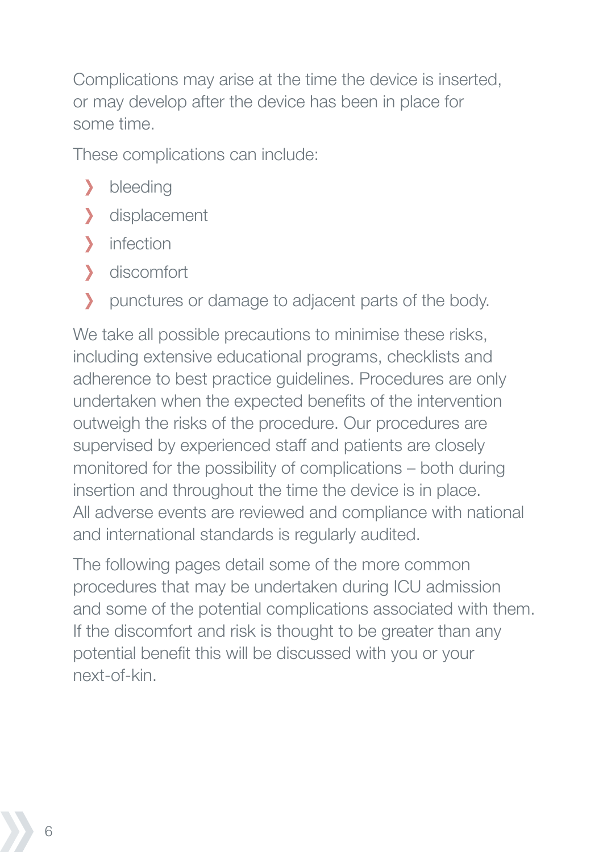Complications may arise at the time the device is inserted, or may develop after the device has been in place for some time.

These complications can include:

- bleeding У
- displacement
- Ŋ. infection
- discomfort У
- punctures or damage to adjacent parts of the body. Y

We take all possible precautions to minimise these risks, including extensive educational programs, checklists and adherence to best practice guidelines. Procedures are only undertaken when the expected benefits of the intervention outweigh the risks of the procedure. Our procedures are supervised by experienced staff and patients are closely monitored for the possibility of complications – both during insertion and throughout the time the device is in place. All adverse events are reviewed and compliance with national and international standards is regularly audited.

The following pages detail some of the more common procedures that may be undertaken during ICU admission and some of the potential complications associated with them. If the discomfort and risk is thought to be greater than any potential benefit this will be discussed with you or your next-of-kin.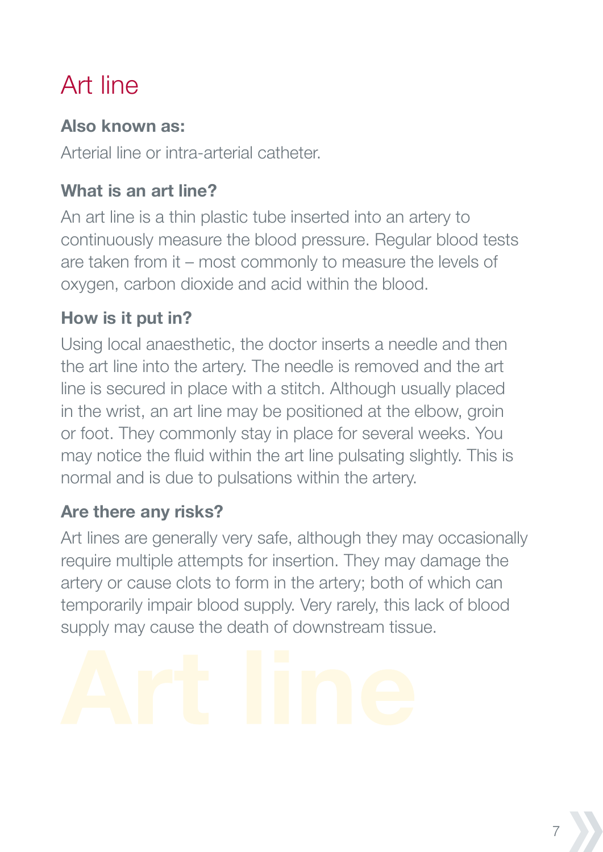# Art line

#### **Also known as:**

Arterial line or intra-arterial catheter.

## **What is an art line?**

An art line is a thin plastic tube inserted into an artery to continuously measure the blood pressure. Regular blood tests are taken from it – most commonly to measure the levels of oxygen, carbon dioxide and acid within the blood.

## **How is it put in?**

Using local anaesthetic, the doctor inserts a needle and then the art line into the artery. The needle is removed and the art line is secured in place with a stitch. Although usually placed in the wrist, an art line may be positioned at the elbow, groin or foot. They commonly stay in place for several weeks. You may notice the fluid within the art line pulsating slightly. This is normal and is due to pulsations within the artery.

#### **Are there any risks?**

Art lines are generally very safe, although they may occasionally require multiple attempts for insertion. They may damage the artery or cause clots to form in the artery; both of which can temporarily impair blood supply. Very rarely, this lack of blood supply may cause the death of downstream tissue.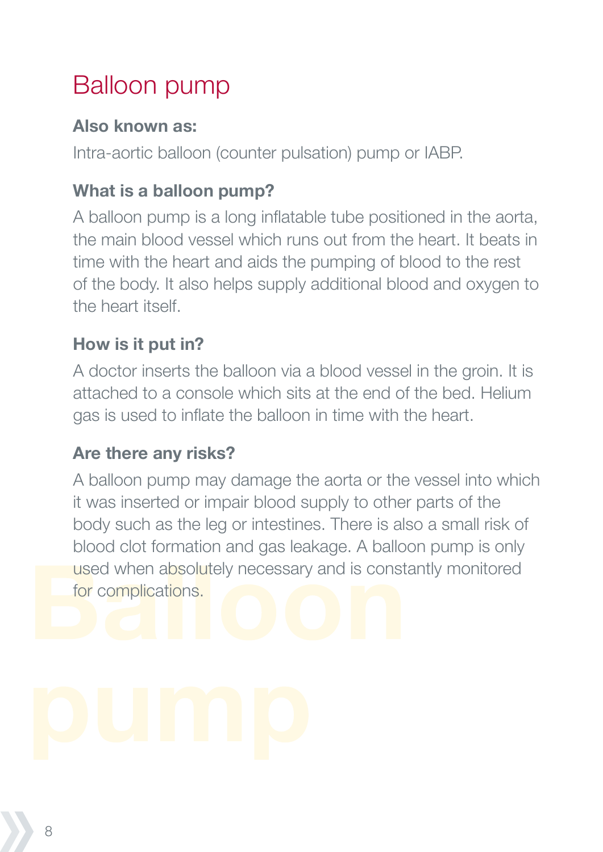# Balloon pump

#### **Also known as:**

Intra-aortic balloon (counter pulsation) pump or IABP.

## **What is a balloon pump?**

A balloon pump is a long inflatable tube positioned in the aorta, the main blood vessel which runs out from the heart. It beats in time with the heart and aids the pumping of blood to the rest of the body. It also helps supply additional blood and oxygen to the heart itself.

#### **How is it put in?**

A doctor inserts the balloon via a blood vessel in the groin. It is attached to a console which sits at the end of the bed. Helium gas is used to inflate the balloon in time with the heart.

#### **Are there any risks?**

A balloon pump may damage the aorta or the vessel into which it was inserted or impair blood supply to other parts of the body such as the leg or intestines. There is also a small risk of blood clot formation and gas leakage. A balloon pump is only used when absolutely necessary and is constantly monitored for complications.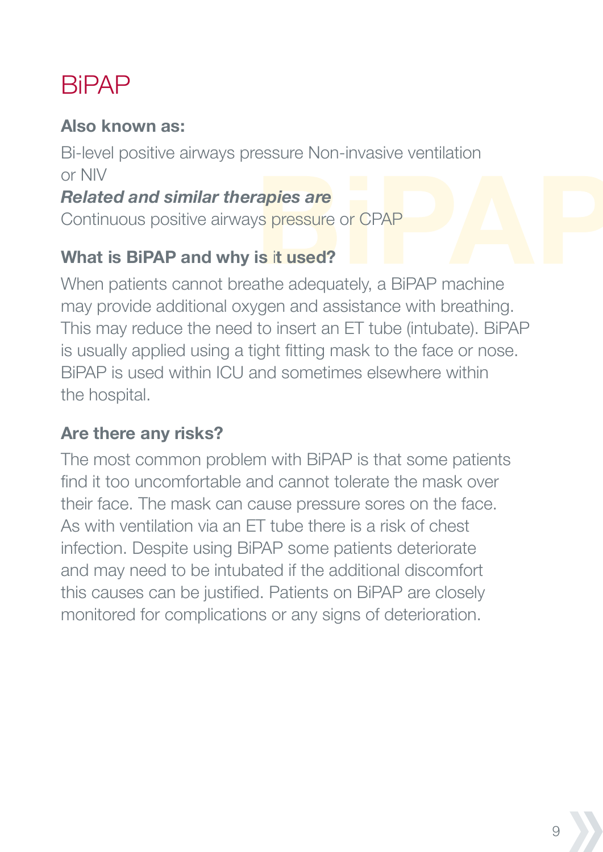# **BiPAP**

#### **Also known as:**

Bi-level positive airways pressure Non-invasive ventilation or NIV

#### *Related and similar therapies are*

Continuous positive airways pressure or CPAP

#### **What is BiPAP and why is** i**t used?**

When patients cannot breathe adequately, a BiPAP machine may provide additional oxygen and assistance with breathing. This may reduce the need to insert an ET tube (intubate). BiPAP is usually applied using a tight fitting mask to the face or nose. BiPAP is used within ICU and sometimes elsewhere within the hospital.

#### **Are there any risks?**

The most common problem with BiPAP is that some patients find it too uncomfortable and cannot tolerate the mask over their face. The mask can cause pressure sores on the face. As with ventilation via an ET tube there is a risk of chest infection. Despite using BiPAP some patients deteriorate and may need to be intubated if the additional discomfort this causes can be justified. Patients on BiPAP are closely monitored for complications or any signs of deterioration.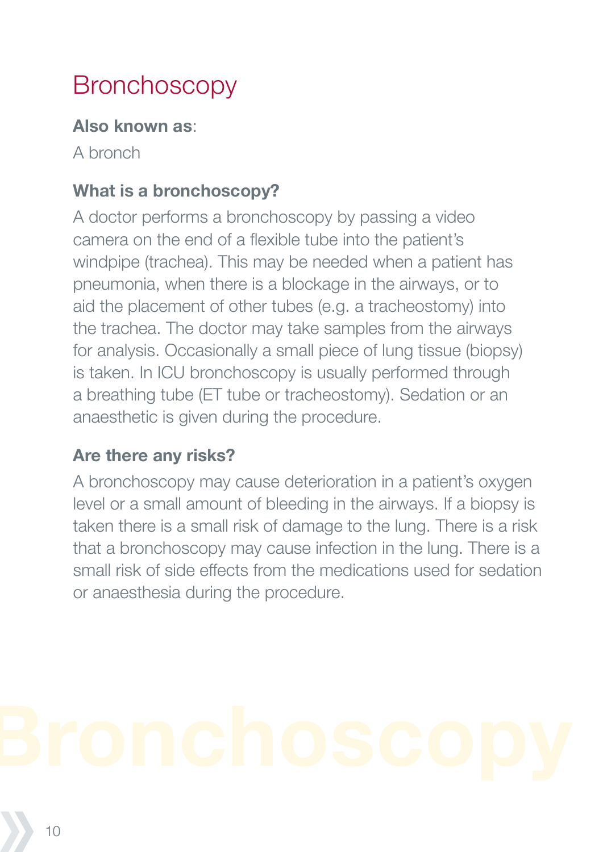# **Bronchoscopy**

#### **Also known as**:

A bronch

## **What is a bronchoscopy?**

A doctor performs a bronchoscopy by passing a video camera on the end of a flexible tube into the patient's windpipe (trachea). This may be needed when a patient has pneumonia, when there is a blockage in the airways, or to aid the placement of other tubes (e.g. a tracheostomy) into the trachea. The doctor may take samples from the airways for analysis. Occasionally a small piece of lung tissue (biopsy) is taken. In ICU bronchoscopy is usually performed through a breathing tube (ET tube or tracheostomy). Sedation or an anaesthetic is given during the procedure.

#### **Are there any risks?**

A bronchoscopy may cause deterioration in a patient's oxygen level or a small amount of bleeding in the airways. If a biopsy is taken there is a small risk of damage to the lung. There is a risk that a bronchoscopy may cause infection in the lung. There is a small risk of side effects from the medications used for sedation or anaesthesia during the procedure.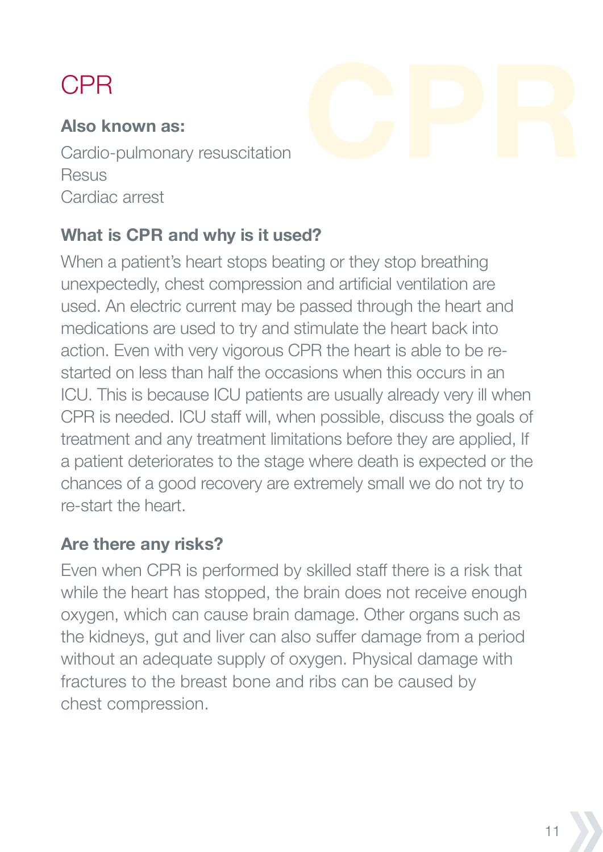# CPR

#### **Also known as:**

Cardio-pulmonary resuscitation **Resus** Cardiac arrest

#### **What is CPR and why is it used?**

When a patient's heart stops beating or they stop breathing unexpectedly, chest compression and artificial ventilation are used. An electric current may be passed through the heart and medications are used to try and stimulate the heart back into action. Even with very vigorous CPR the heart is able to be restarted on less than half the occasions when this occurs in an ICU. This is because ICU patients are usually already very ill when CPR is needed. ICU staff will, when possible, discuss the goals of treatment and any treatment limitations before they are applied, If a patient deteriorates to the stage where death is expected or the chances of a good recovery are extremely small we do not try to re-start the heart.

#### **Are there any risks?**

Even when CPR is performed by skilled staff there is a risk that while the heart has stopped, the brain does not receive enough oxygen, which can cause brain damage. Other organs such as the kidneys, gut and liver can also suffer damage from a period without an adequate supply of oxygen. Physical damage with fractures to the breast bone and ribs can be caused by chest compression.

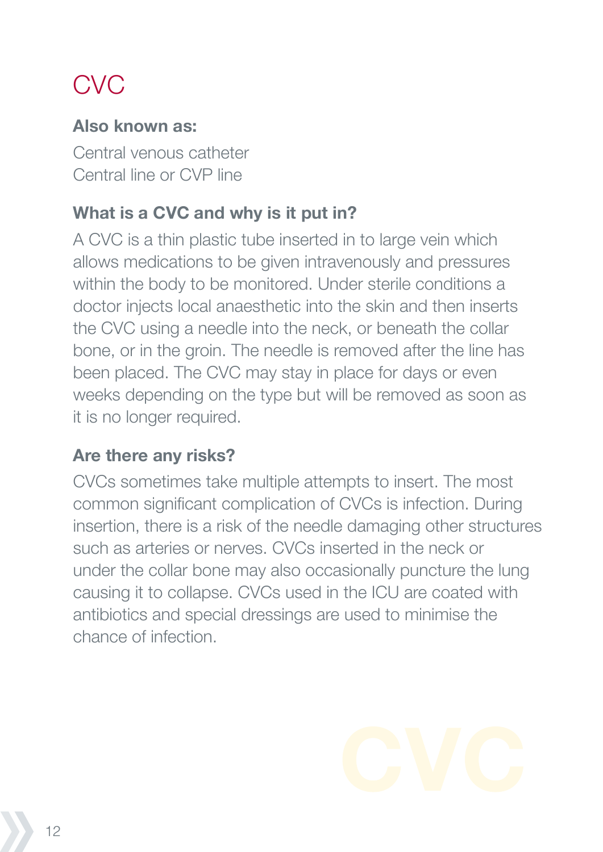# **CVC**

#### **Also known as:**

Central venous catheter Central line or CVP line

#### **What is a CVC and why is it put in?**

A CVC is a thin plastic tube inserted in to large vein which allows medications to be given intravenously and pressures within the body to be monitored. Under sterile conditions a doctor injects local anaesthetic into the skin and then inserts the CVC using a needle into the neck, or beneath the collar bone, or in the groin. The needle is removed after the line has been placed. The CVC may stay in place for days or even weeks depending on the type but will be removed as soon as it is no longer required.

#### **Are there any risks?**

CVCs sometimes take multiple attempts to insert. The most common significant complication of CVCs is infection. During insertion, there is a risk of the needle damaging other structures such as arteries or nerves. CVCs inserted in the neck or under the collar bone may also occasionally puncture the lung causing it to collapse. CVCs used in the ICU are coated with antibiotics and special dressings are used to minimise the chance of infection.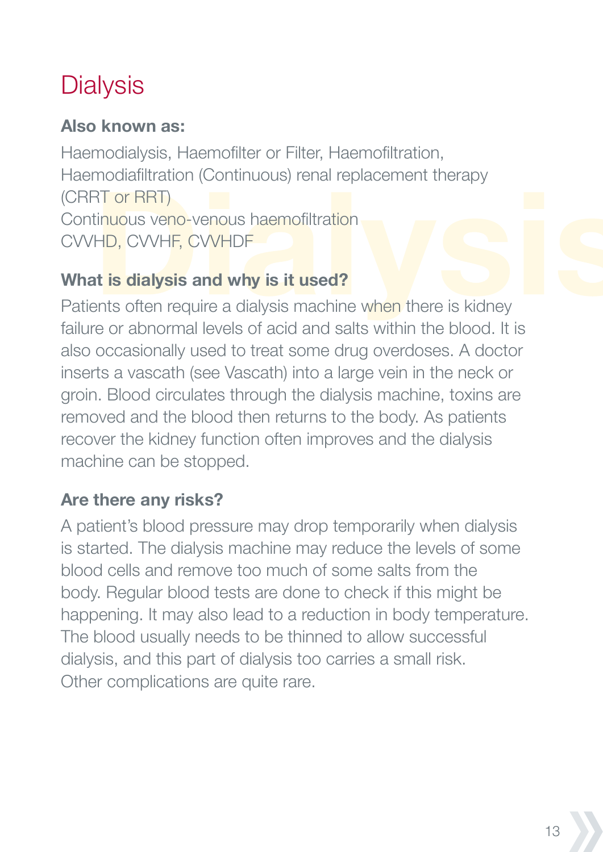# **Dialysis**

#### **Also known as:**

Haemodialysis, Haemofilter or Filter, Haemofiltration, Haemodiafiltration (Continuous) renal replacement therapy (CRRT or RRT) Continuous veno-venous haemofiltration CVVHD, CVVHF, CVVHDF

## **What is dialysis and why is it used?**

Patients often require a dialysis machine when there is kidney failure or abnormal levels of acid and salts within the blood. It is also occasionally used to treat some drug overdoses. A doctor inserts a vascath (see Vascath) into a large vein in the neck or groin. Blood circulates through the dialysis machine, toxins are removed and the blood then returns to the body. As patients recover the kidney function often improves and the dialysis machine can be stopped.

## **Are there any risks?**

A patient's blood pressure may drop temporarily when dialysis is started. The dialysis machine may reduce the levels of some blood cells and remove too much of some salts from the body. Regular blood tests are done to check if this might be happening. It may also lead to a reduction in body temperature. The blood usually needs to be thinned to allow successful dialysis, and this part of dialysis too carries a small risk. Other complications are quite rare.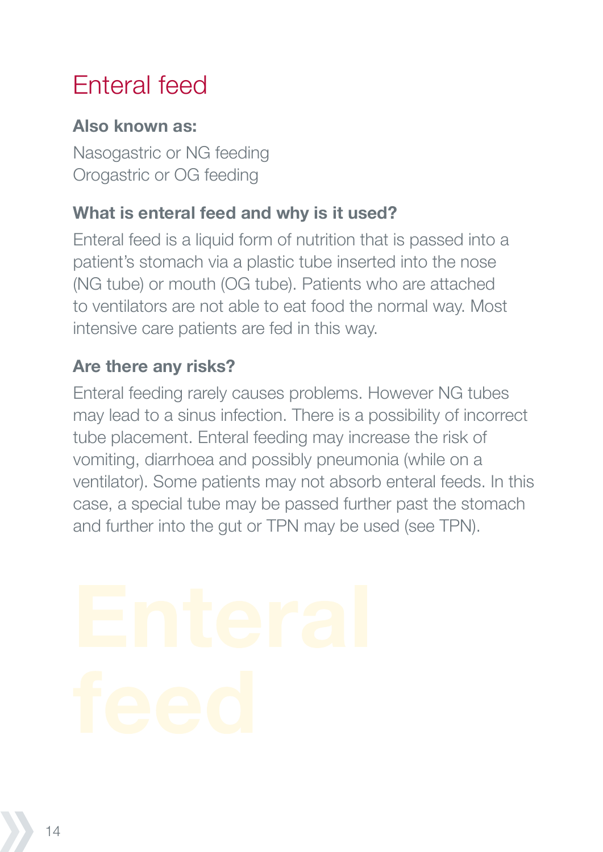# Enteral feed

#### **Also known as:**

Nasogastric or NG feeding Orogastric or OG feeding

#### **What is enteral feed and why is it used?**

Enteral feed is a liquid form of nutrition that is passed into a patient's stomach via a plastic tube inserted into the nose (NG tube) or mouth (OG tube). Patients who are attached to ventilators are not able to eat food the normal way. Most intensive care patients are fed in this way.

#### **Are there any risks?**

Enteral feeding rarely causes problems. However NG tubes may lead to a sinus infection. There is a possibility of incorrect tube placement. Enteral feeding may increase the risk of vomiting, diarrhoea and possibly pneumonia (while on a ventilator). Some patients may not absorb enteral feeds. In this case, a special tube may be passed further past the stomach and further into the gut or TPN may be used (see TPN).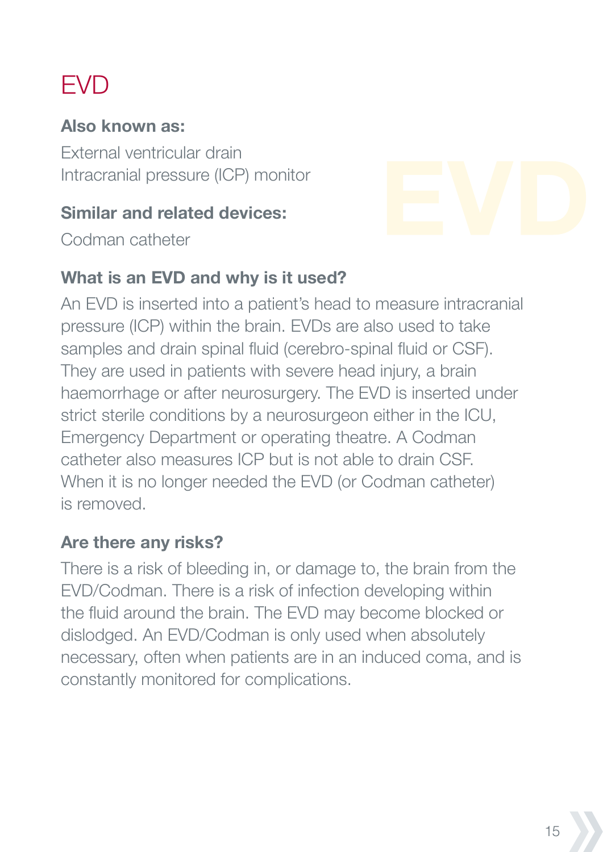# **FVD**

#### **Also known as:**

External ventricular drain Intracranial pressure (ICP) monitor

#### **Similar and related devices:**

Codman catheter

#### **What is an EVD and why is it used?**

An EVD is inserted into a patient's head to measure intracranial pressure (ICP) within the brain. EVDs are also used to take samples and drain spinal fluid (cerebro-spinal fluid or CSF). They are used in patients with severe head injury, a brain haemorrhage or after neurosurgery. The EVD is inserted under strict sterile conditions by a neurosurgeon either in the ICU, Emergency Department or operating theatre. A Codman catheter also measures ICP but is not able to drain CSF. When it is no longer needed the EVD (or Codman catheter) is removed.

#### **Are there any risks?**

There is a risk of bleeding in, or damage to, the brain from the EVD/Codman. There is a risk of infection developing within the fluid around the brain. The EVD may become blocked or dislodged. An EVD/Codman is only used when absolutely necessary, often when patients are in an induced coma, and is constantly monitored for complications.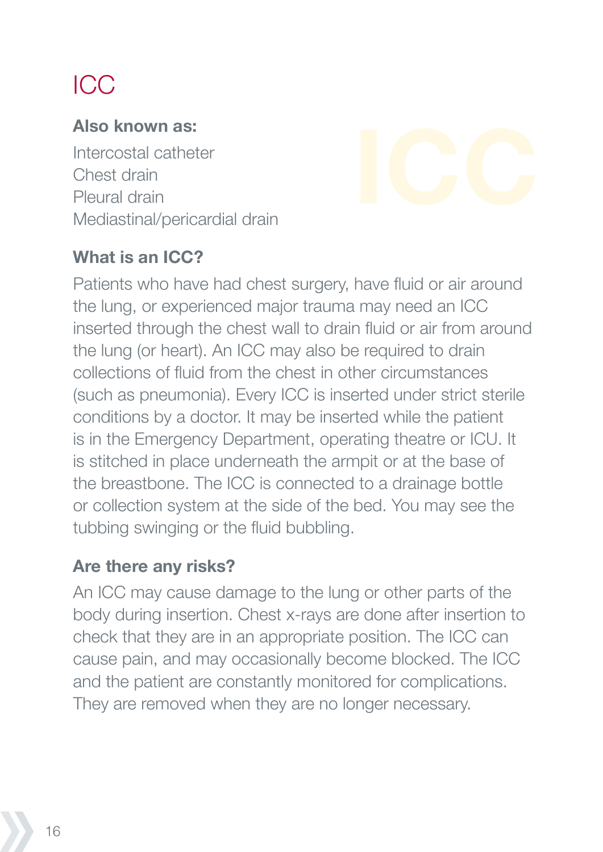# ICC

#### **Also known as:**

Intercostal catheter Chest drain Pleural drain Mediastinal/pericardial drain

#### **What is an ICC?**

Patients who have had chest surgery, have fluid or air around the lung, or experienced major trauma may need an ICC inserted through the chest wall to drain fluid or air from around the lung (or heart). An ICC may also be required to drain collections of fluid from the chest in other circumstances (such as pneumonia). Every ICC is inserted under strict sterile conditions by a doctor. It may be inserted while the patient is in the Emergency Department, operating theatre or ICU. It is stitched in place underneath the armpit or at the base of the breastbone. The ICC is connected to a drainage bottle or collection system at the side of the bed. You may see the tubbing swinging or the fluid bubbling.

#### **Are there any risks?**

An ICC may cause damage to the lung or other parts of the body during insertion. Chest x-rays are done after insertion to check that they are in an appropriate position. The ICC can cause pain, and may occasionally become blocked. The ICC and the patient are constantly monitored for complications. They are removed when they are no longer necessary.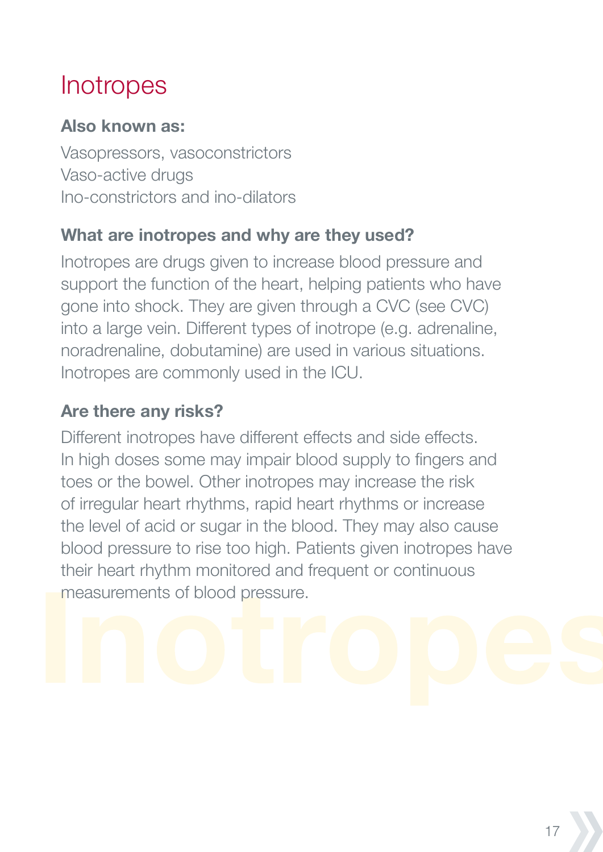# **Inotropes**

#### **Also known as:**

Vasopressors, vasoconstrictors Vaso-active drugs Ino-constrictors and ino-dilators

#### **What are inotropes and why are they used?**

Inotropes are drugs given to increase blood pressure and support the function of the heart, helping patients who have gone into shock. They are given through a CVC (see CVC) into a large vein. Different types of inotrope (e.g. adrenaline, noradrenaline, dobutamine) are used in various situations. Inotropes are commonly used in the ICU.

#### **Are there any risks?**

Different inotropes have different effects and side effects. In high doses some may impair blood supply to fingers and toes or the bowel. Other inotropes may increase the risk of irregular heart rhythms, rapid heart rhythms or increase the level of acid or sugar in the blood. They may also cause blood pressure to rise too high. Patients given inotropes have their heart rhythm monitored and frequent or continuous measurements of blood pressure.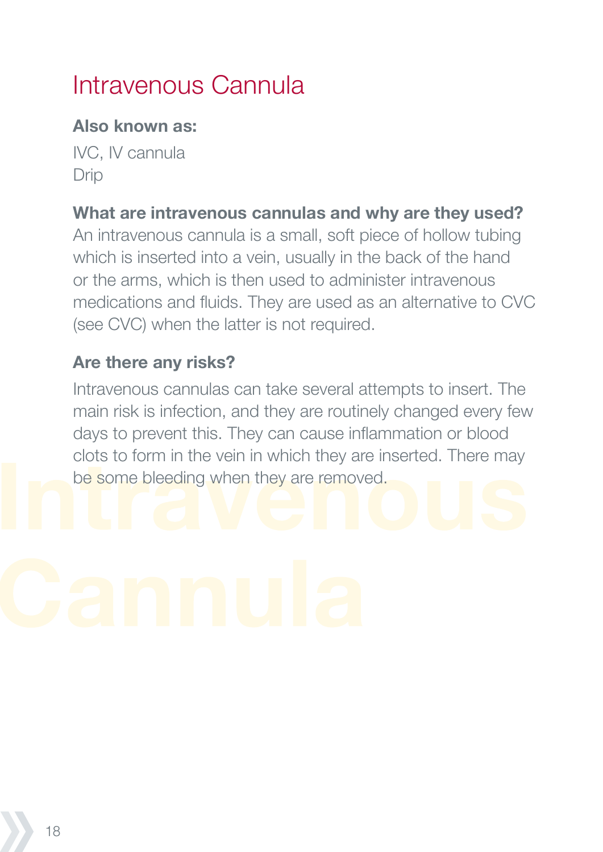# Intravenous Cannula

#### **Also known as:**

IVC, IV cannula Drip

#### **What are intravenous cannulas and why are they used?**

An intravenous cannula is a small, soft piece of hollow tubing which is inserted into a vein, usually in the back of the hand or the arms, which is then used to administer intravenous medications and fluids. They are used as an alternative to CVC (see CVC) when the latter is not required.

#### **Are there any risks?**

Intravenous cannulas can take several attempts to insert. The main risk is infection, and they are routinely changed every few days to prevent this. They can cause inflammation or blood clots to form in the vein in which they are inserted. There may be some bleeding when they are removed.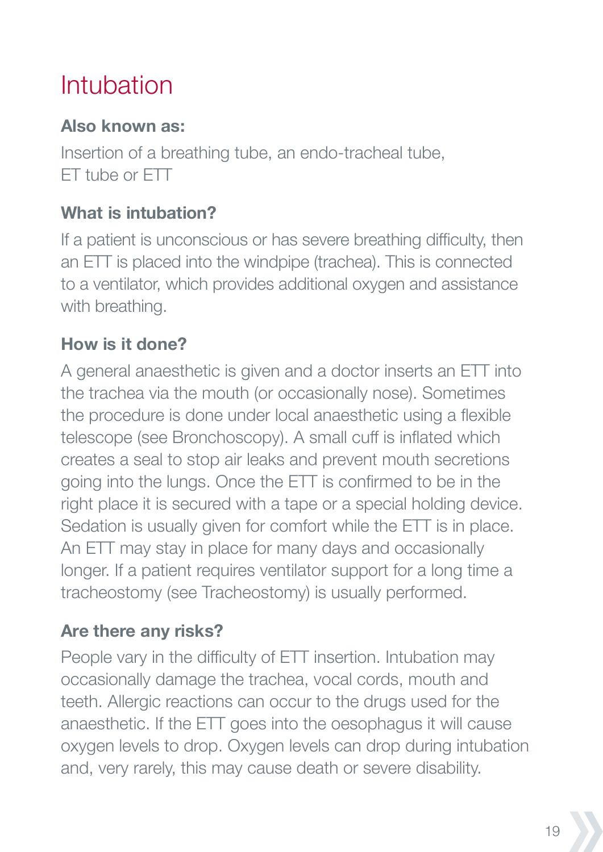# Intubation

#### **Also known as:**

Insertion of a breathing tube, an endo-tracheal tube, ET tube or ETT

## **What is intubation?**

If a patient is unconscious or has severe breathing difficulty, then an ETT is placed into the windpipe (trachea). This is connected to a ventilator, which provides additional oxygen and assistance with breathing.

## **How is it done?**

A general anaesthetic is given and a doctor inserts an ETT into the trachea via the mouth (or occasionally nose). Sometimes the procedure is done under local anaesthetic using a flexible telescope (see Bronchoscopy). A small cuff is inflated which creates a seal to stop air leaks and prevent mouth secretions going into the lungs. Once the ETT is confirmed to be in the right place it is secured with a tape or a special holding device. Sedation is usually given for comfort while the ETT is in place. An ETT may stay in place for many days and occasionally longer. If a patient requires ventilator support for a long time a tracheostomy (see Tracheostomy) is usually performed.

## **Are there any risks?**

People vary in the difficulty of ETT insertion. Intubation may occasionally damage the trachea, vocal cords, mouth and teeth. Allergic reactions can occur to the drugs used for the anaesthetic. If the ETT goes into the oesophagus it will cause oxygen levels to drop. Oxygen levels can drop during intubation and, very rarely, this may cause death or severe disability.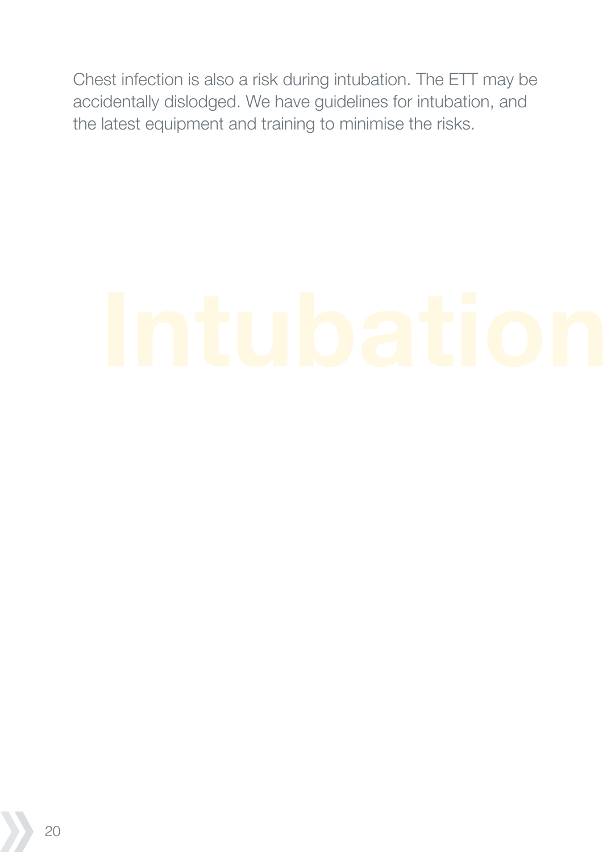Chest infection is also a risk during intubation. The ETT may be accidentally dislodged. We have guidelines for intubation, and the latest equipment and training to minimise the risks.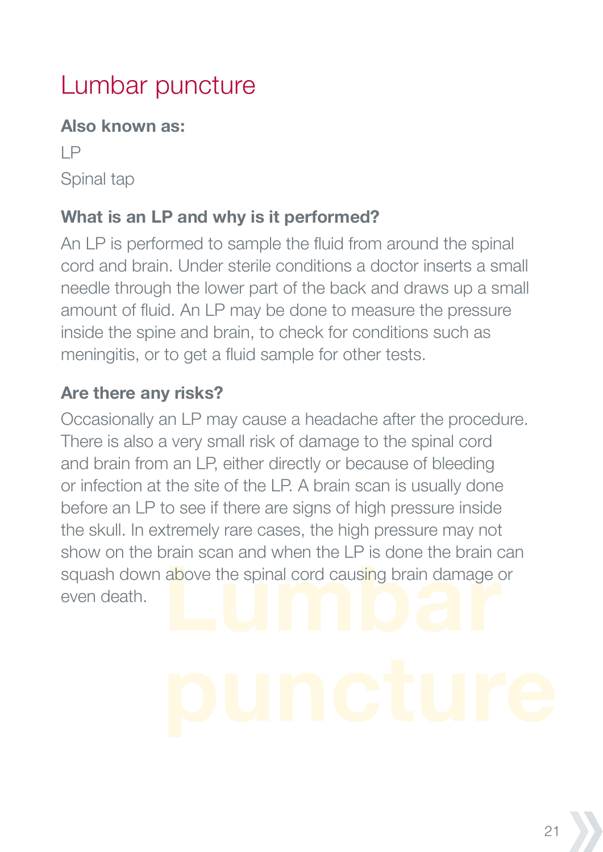# Lumbar puncture

#### **Also known as:**

LP Spinal tap

## **What is an LP and why is it performed?**

An LP is performed to sample the fluid from around the spinal cord and brain. Under sterile conditions a doctor inserts a small needle through the lower part of the back and draws up a small amount of fluid. An LP may be done to measure the pressure inside the spine and brain, to check for conditions such as meningitis, or to get a fluid sample for other tests.

#### **Are there any risks?**

Occasionally an LP may cause a headache after the procedure. There is also a very small risk of damage to the spinal cord and brain from an LP, either directly or because of bleeding or infection at the site of the LP. A brain scan is usually done before an LP to see if there are signs of high pressure inside the skull. In extremely rare cases, the high pressure may not show on the brain scan and when the LP is done the brain can squash down above the spinal cord causing brain damage or even death.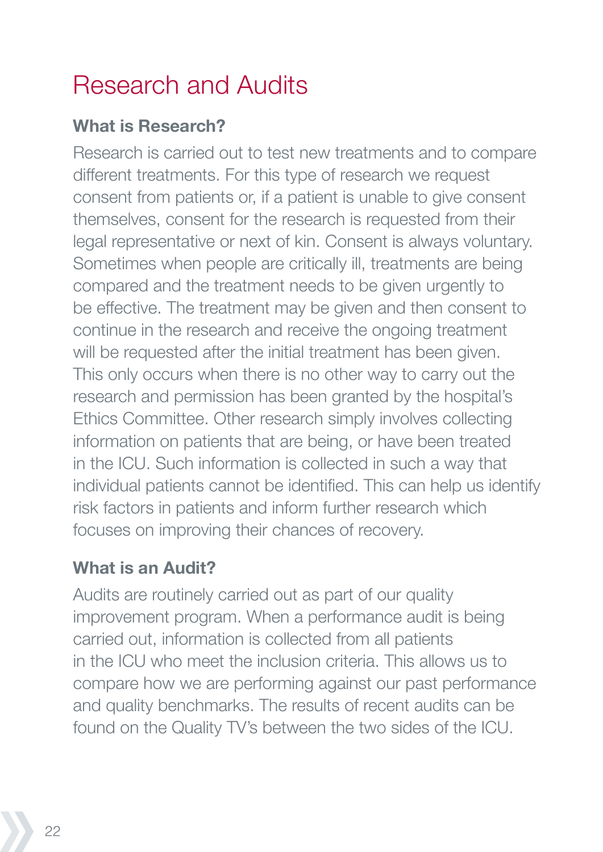# Research and Audits

#### **What is Research?**

Research is carried out to test new treatments and to compare different treatments. For this type of research we request consent from patients or, if a patient is unable to give consent themselves, consent for the research is requested from their legal representative or next of kin. Consent is always voluntary. Sometimes when people are critically ill, treatments are being compared and the treatment needs to be given urgently to be effective. The treatment may be given and then consent to continue in the research and receive the ongoing treatment will be requested after the initial treatment has been given. This only occurs when there is no other way to carry out the research and permission has been granted by the hospital's Ethics Committee. Other research simply involves collecting information on patients that are being, or have been treated in the ICU. Such information is collected in such a way that individual patients cannot be identified. This can help us identify risk factors in patients and inform further research which focuses on improving their chances of recovery.

#### **What is an Audit?**

Audits are routinely carried out as part of our quality improvement program. When a performance audit is being carried out, information is collected from all patients in the ICU who meet the inclusion criteria. This allows us to compare how we are performing against our past performance and quality benchmarks. The results of recent audits can be found on the Quality TV's between the two sides of the ICU.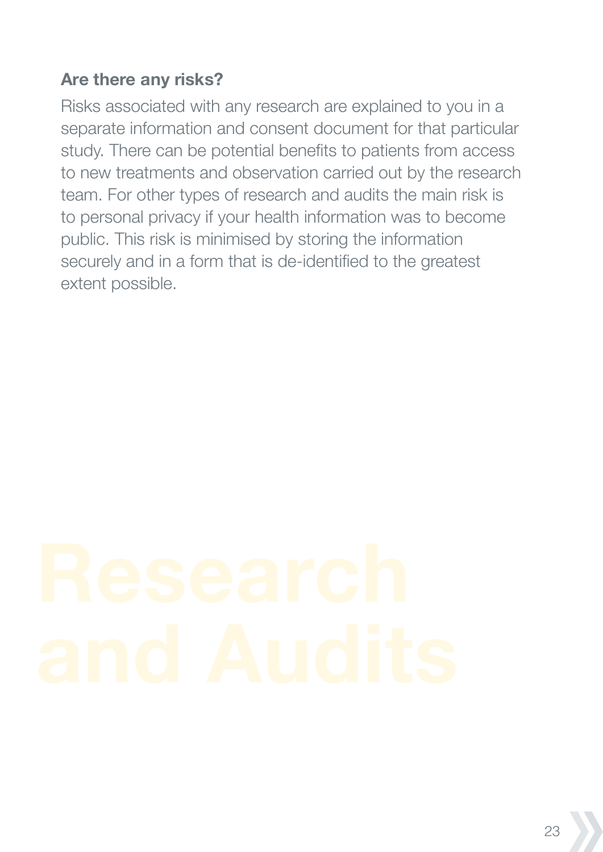#### **Are there any risks?**

Risks associated with any research are explained to you in a separate information and consent document for that particular study. There can be potential benefits to patients from access to new treatments and observation carried out by the research team. For other types of research and audits the main risk is to personal privacy if your health information was to become public. This risk is minimised by storing the information securely and in a form that is de-identified to the greatest extent possible.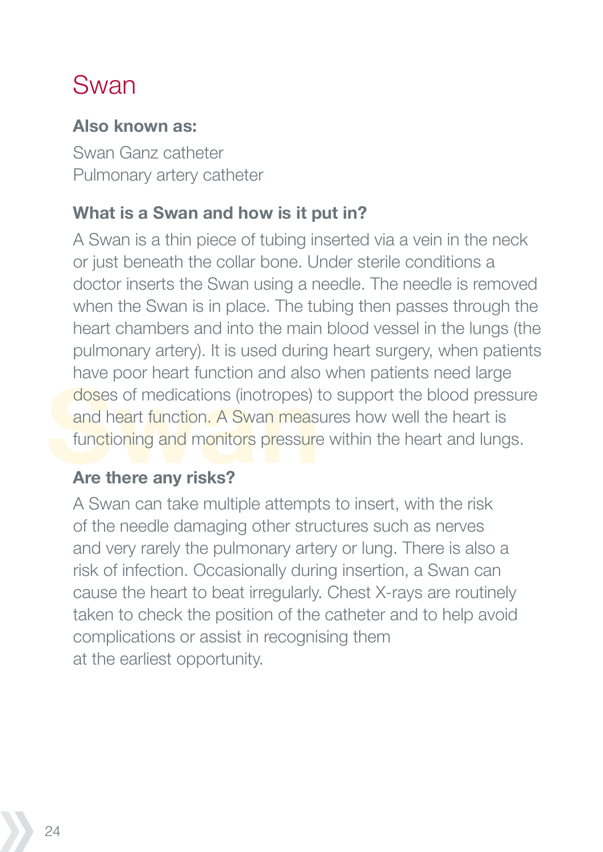# Swan

#### **Also known as:**

Swan Ganz catheter Pulmonary artery catheter

#### **What is a Swan and how is it put in?**

A Swan is a thin piece of tubing inserted via a vein in the neck or just beneath the collar bone. Under sterile conditions a doctor inserts the Swan using a needle. The needle is removed when the Swan is in place. The tubing then passes through the heart chambers and into the main blood vessel in the lungs (the pulmonary artery). It is used during heart surgery, when patients have poor heart function and also when patients need large doses of medications (inotropes) to support the blood pressure and heart function. A Swan measures how well the heart is functioning and monitors pressure within the heart and lungs.

#### **Are there any risks?**

A Swan can take multiple attempts to insert, with the risk of the needle damaging other structures such as nerves and very rarely the pulmonary artery or lung. There is also a risk of infection. Occasionally during insertion, a Swan can cause the heart to beat irregularly. Chest X-rays are routinely taken to check the position of the catheter and to help avoid complications or assist in recognising them at the earliest opportunity.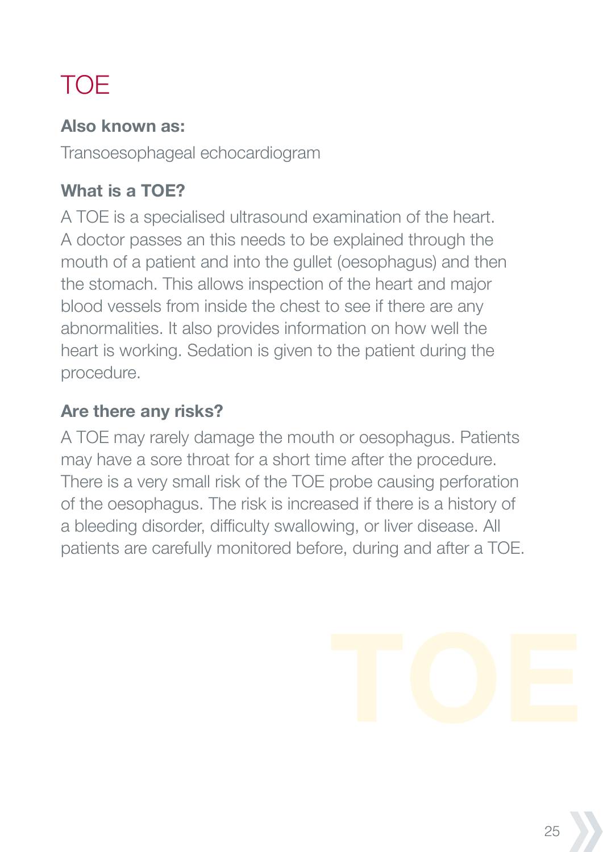# TOE

#### **Also known as:**

Transoesophageal echocardiogram

## **What is a TOE?**

A TOE is a specialised ultrasound examination of the heart. A doctor passes an this needs to be explained through the mouth of a patient and into the gullet (oesophagus) and then the stomach. This allows inspection of the heart and major blood vessels from inside the chest to see if there are any abnormalities. It also provides information on how well the heart is working. Sedation is given to the patient during the procedure.

## **Are there any risks?**

A TOE may rarely damage the mouth or oesophagus. Patients may have a sore throat for a short time after the procedure. There is a very small risk of the TOE probe causing perforation of the oesophagus. The risk is increased if there is a history of a bleeding disorder, difficulty swallowing, or liver disease. All patients are carefully monitored before, during and after a TOE.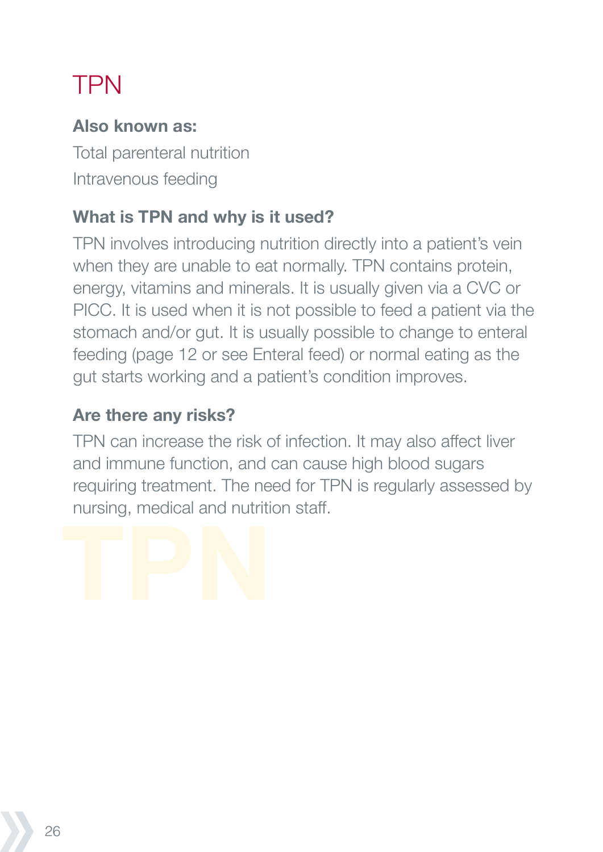# TPN

#### **Also known as:**

Total parenteral nutrition Intravenous feeding

#### **What is TPN and why is it used?**

TPN involves introducing nutrition directly into a patient's vein when they are unable to eat normally. TPN contains protein, energy, vitamins and minerals. It is usually given via a CVC or PICC. It is used when it is not possible to feed a patient via the stomach and/or gut. It is usually possible to change to enteral feeding (page 12 or see Enteral feed) or normal eating as the gut starts working and a patient's condition improves.

#### **Are there any risks?**

TPN can increase the risk of infection. It may also affect liver and immune function, and can cause high blood sugars requiring treatment. The need for TPN is regularly assessed by nursing, medical and nutrition staff.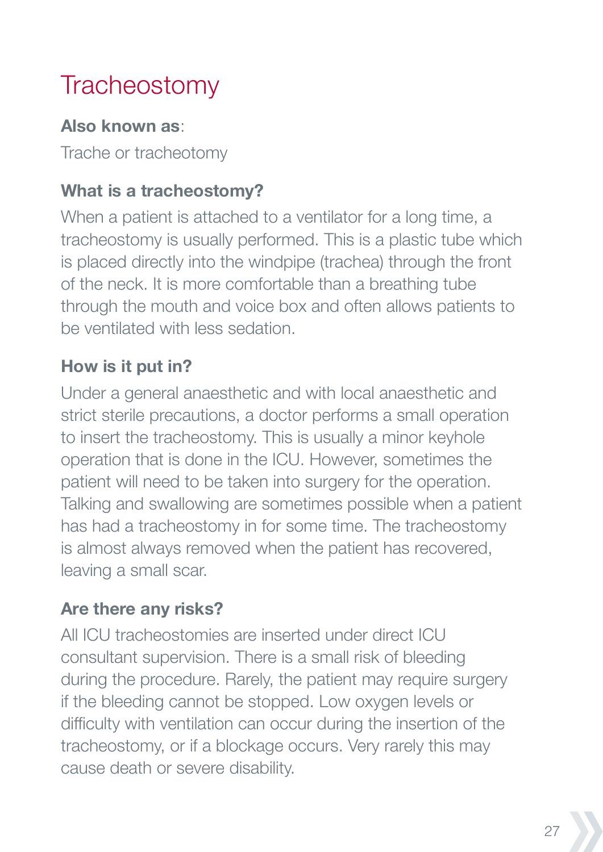# **Tracheostomy**

#### **Also known as**:

Trache or tracheotomy

## **What is a tracheostomy?**

When a patient is attached to a ventilator for a long time, a tracheostomy is usually performed. This is a plastic tube which is placed directly into the windpipe (trachea) through the front of the neck. It is more comfortable than a breathing tube through the mouth and voice box and often allows patients to be ventilated with less sedation.

## **How is it put in?**

Under a general anaesthetic and with local anaesthetic and strict sterile precautions, a doctor performs a small operation to insert the tracheostomy. This is usually a minor keyhole operation that is done in the ICU. However, sometimes the patient will need to be taken into surgery for the operation. Talking and swallowing are sometimes possible when a patient has had a tracheostomy in for some time. The tracheostomy is almost always removed when the patient has recovered, leaving a small scar.

## **Are there any risks?**

All ICU tracheostomies are inserted under direct ICU consultant supervision. There is a small risk of bleeding during the procedure. Rarely, the patient may require surgery if the bleeding cannot be stopped. Low oxygen levels or difficulty with ventilation can occur during the insertion of the tracheostomy, or if a blockage occurs. Very rarely this may cause death or severe disability.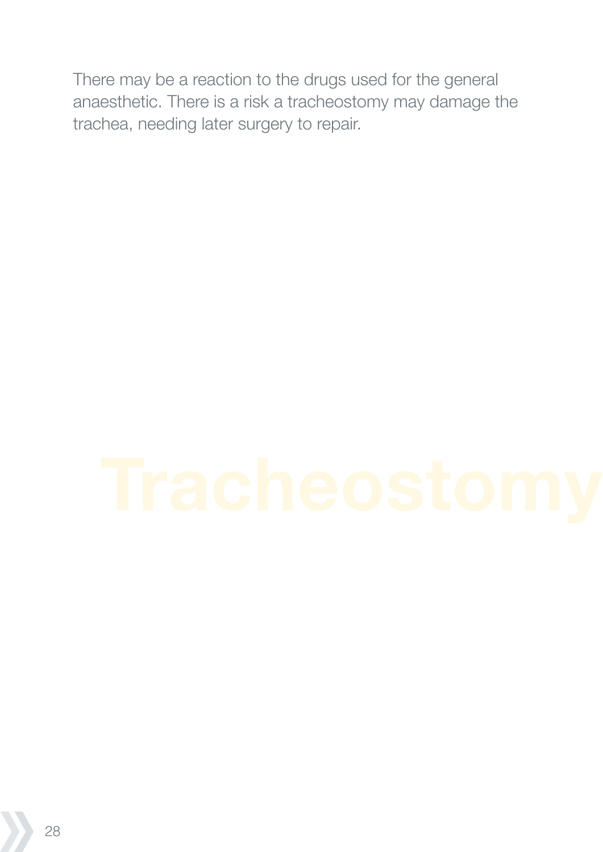There may be a reaction to the drugs used for the general anaesthetic. There is a risk a tracheostomy may damage the trachea, needing later surgery to repair.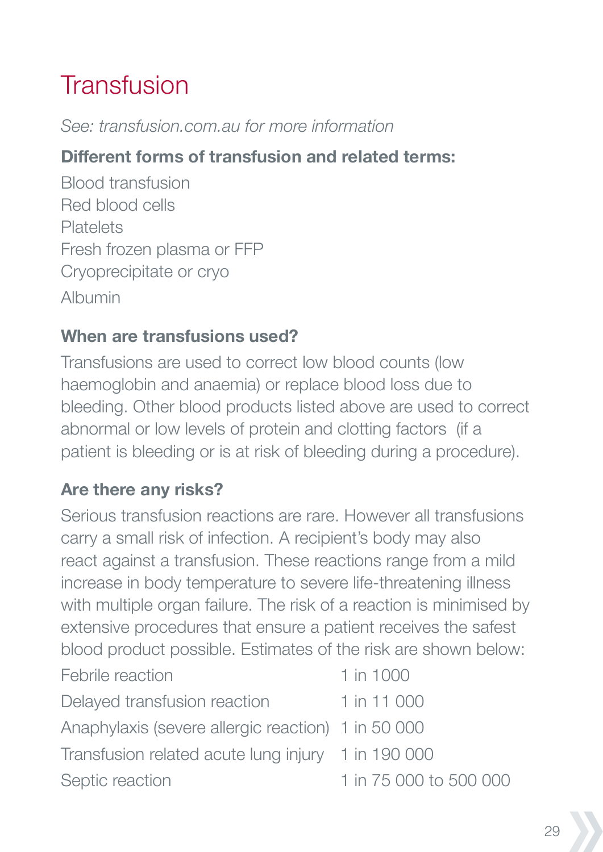# **Transfusion**

#### *See: transfusion.com.au for more information*

#### **Different forms of transfusion and related terms:**

Blood transfusion Red blood cells Platelets Fresh frozen plasma or FFP Cryoprecipitate or cryo Albumin

#### **When are transfusions used?**

Transfusions are used to correct low blood counts (low haemoglobin and anaemia) or replace blood loss due to bleeding. Other blood products listed above are used to correct abnormal or low levels of protein and clotting factors (if a patient is bleeding or is at risk of bleeding during a procedure).

#### **Are there any risks?**

Serious transfusion reactions are rare. However all transfusions carry a small risk of infection. A recipient's body may also react against a transfusion. These reactions range from a mild increase in body temperature to severe life-threatening illness with multiple organ failure. The risk of a reaction is minimised by extensive procedures that ensure a patient receives the safest blood product possible. Estimates of the risk are shown below:

| Febrile reaction                                   | 1 in 1000              |
|----------------------------------------------------|------------------------|
| Delayed transfusion reaction                       | 1 in 11 000            |
| Anaphylaxis (severe allergic reaction) 1 in 50 000 |                        |
| Transfusion related acute lung injury 1 in 190 000 |                        |
| Septic reaction                                    | 1 in 75 000 to 500 000 |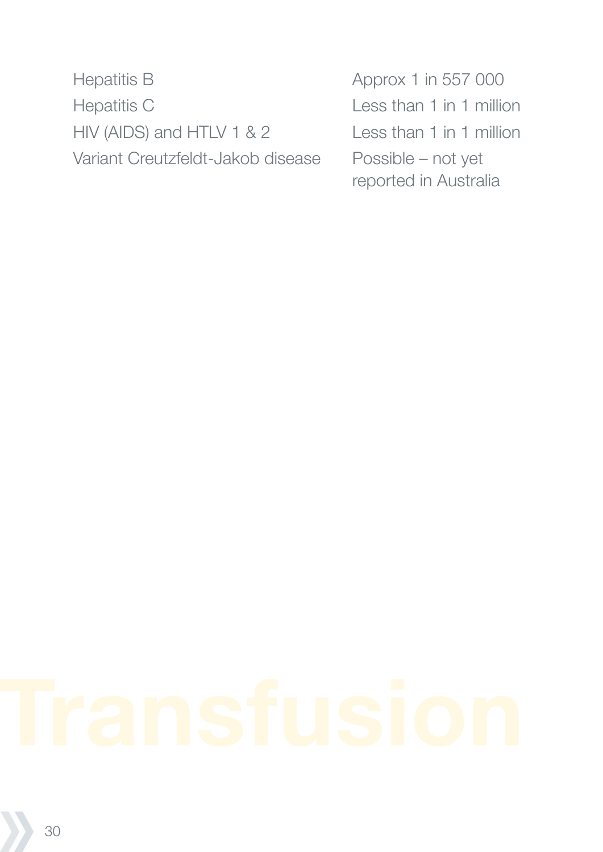Hepatitis B Approx 1 in 557 000 Hepatitis C Less than 1 in 1 million HIV (AIDS) and HTLV 1 & 2 Less than 1 in 1 million Variant Creutzfeldt-Jakob disease Possible – not yet

reported in Australia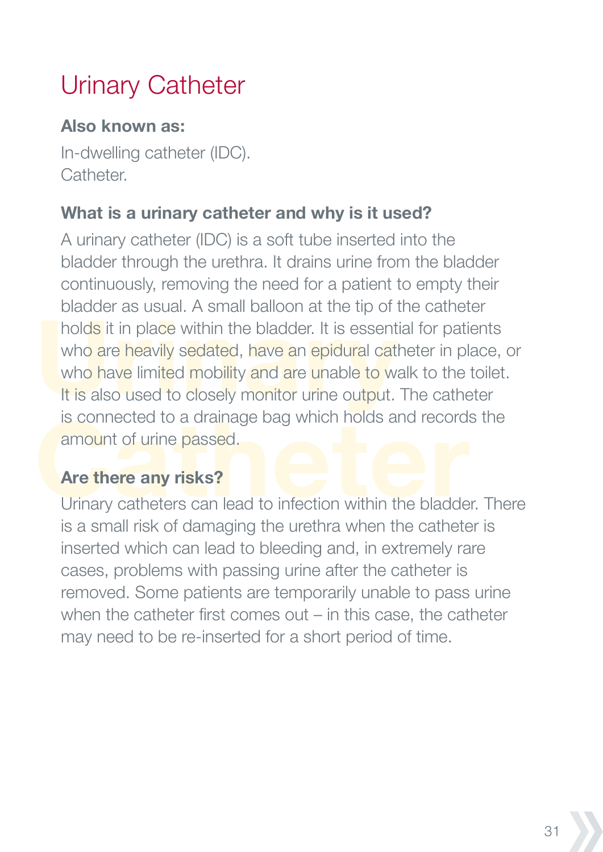# Urinary Catheter

#### **Also known as:**

In-dwelling catheter (IDC). **Catheter** 

#### **What is a urinary catheter and why is it used?**

A urinary catheter (IDC) is a soft tube inserted into the bladder through the urethra. It drains urine from the bladder continuously, removing the need for a patient to empty their bladder as usual. A small balloon at the tip of the catheter holds it in place within the bladder. It is essential for patients who are heavily sedated, have an epidural catheter in place, or who have limited mobility and are unable to walk to the toilet. It is also used to closely monitor urine output. The catheter is connected to a drainage bag which holds and records the amount of urine passed.

#### **Are there any risks?**

Urinary catheters can lead to infection within the bladder. There is a small risk of damaging the urethra when the catheter is inserted which can lead to bleeding and, in extremely rare cases, problems with passing urine after the catheter is removed. Some patients are temporarily unable to pass urine when the catheter first comes out – in this case, the catheter may need to be re-inserted for a short period of time.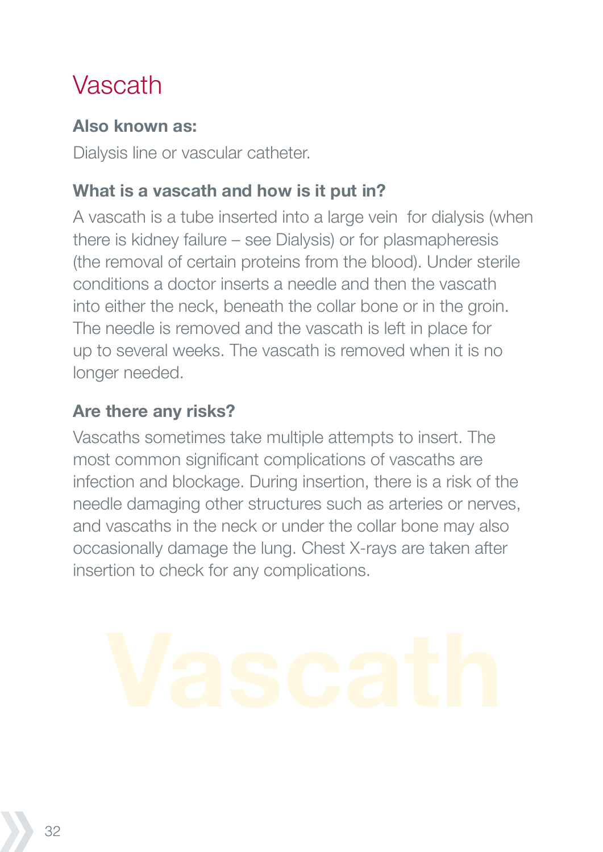# Vascath

#### **Also known as:**

Dialysis line or vascular catheter.

#### **What is a vascath and how is it put in?**

A vascath is a tube inserted into a large vein for dialysis (when there is kidney failure – see Dialysis) or for plasmapheresis (the removal of certain proteins from the blood). Under sterile conditions a doctor inserts a needle and then the vascath into either the neck, beneath the collar bone or in the groin. The needle is removed and the vascath is left in place for up to several weeks. The vascath is removed when it is no longer needed.

#### **Are there any risks?**

Vascaths sometimes take multiple attempts to insert. The most common significant complications of vascaths are infection and blockage. During insertion, there is a risk of the needle damaging other structures such as arteries or nerves, and vascaths in the neck or under the collar bone may also occasionally damage the lung. Chest X-rays are taken after insertion to check for any complications.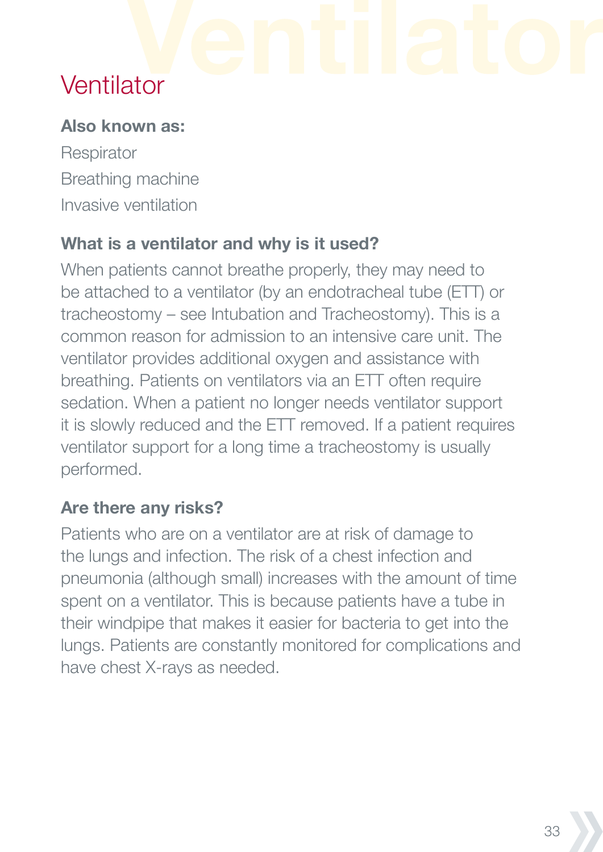# **Ventilator**

#### **Also known as:**

**Respirator** Breathing machine Invasive ventilation

#### **What is a ventilator and why is it used?**

When patients cannot breathe properly, they may need to be attached to a ventilator (by an endotracheal tube (ETT) or tracheostomy – see Intubation and Tracheostomy). This is a common reason for admission to an intensive care unit. The ventilator provides additional oxygen and assistance with breathing. Patients on ventilators via an ETT often require sedation. When a patient no longer needs ventilator support it is slowly reduced and the ETT removed. If a patient requires ventilator support for a long time a tracheostomy is usually performed.

#### **Are there any risks?**

Patients who are on a ventilator are at risk of damage to the lungs and infection. The risk of a chest infection and pneumonia (although small) increases with the amount of time spent on a ventilator. This is because patients have a tube in their windpipe that makes it easier for bacteria to get into the lungs. Patients are constantly monitored for complications and have chest X-rays as needed.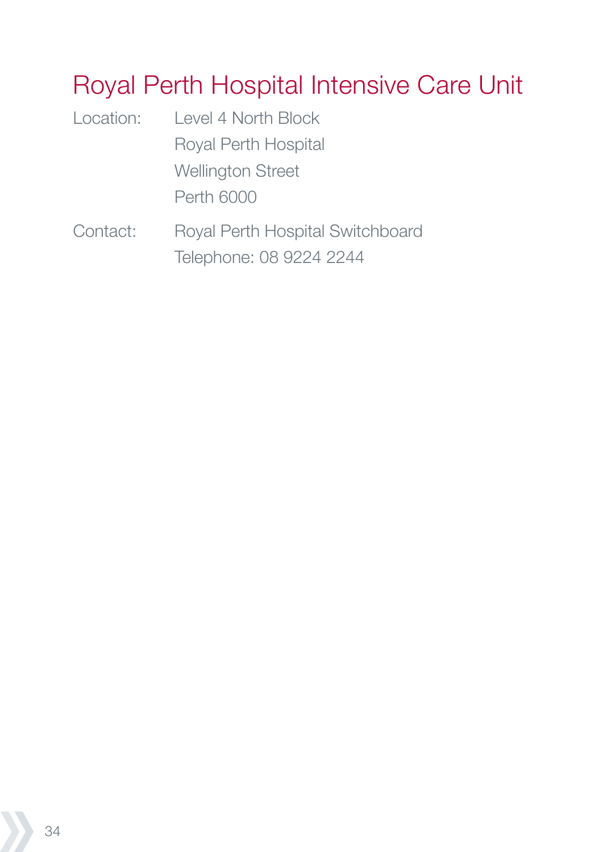# Royal Perth Hospital Intensive Care Unit

| Location:           | Level 4 North Block                                                                                                                                                                                                                                                            |
|---------------------|--------------------------------------------------------------------------------------------------------------------------------------------------------------------------------------------------------------------------------------------------------------------------------|
|                     | Royal Perth Hospital                                                                                                                                                                                                                                                           |
|                     | <b>Wellington Street</b>                                                                                                                                                                                                                                                       |
|                     | <b>Perth 6000</b>                                                                                                                                                                                                                                                              |
| $\bigcap$ and a all | $\Box$ and $\Box$ and $\Box$ and $\Box$ and $\Box$ and $\Box$ and $\Box$ and $\Box$ and $\Box$ and $\Box$ and $\Box$ and $\Box$ and $\Box$ and $\Box$ and $\Box$ and $\Box$ and $\Box$ and $\Box$ and $\Box$ and $\Box$ and $\Box$ and $\Box$ and $\Box$ and $\Box$ and $\Box$ |

Contact: Royal Perth Hospital Switchboard Telephone: 08 9224 2244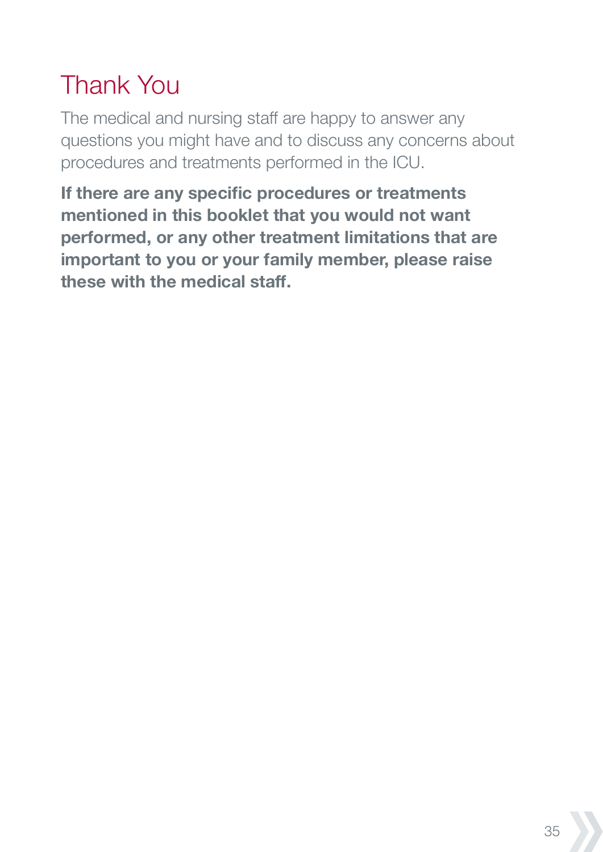# Thank You

The medical and nursing staff are happy to answer any questions you might have and to discuss any concerns about procedures and treatments performed in the ICU.

**If there are any specific procedures or treatments mentioned in this booklet that you would not want performed, or any other treatment limitations that are important to you or your family member, please raise these with the medical staff.**